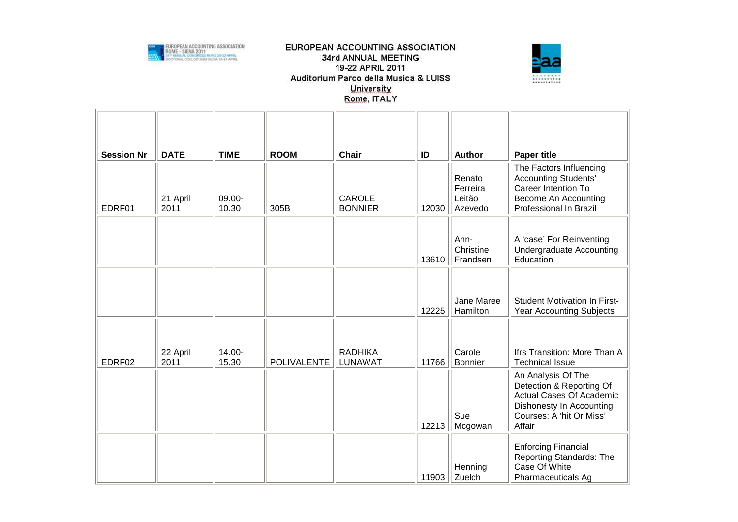

## EUROPEAN ACCOUNTING ASSOCIATION 34rd ANNUAL MEETING 19-22 APRIL 2011 Auditorium Parco della Musica & LUISS University Rome, ITALY



| <b>Session Nr</b> | <b>DATE</b>      | <b>TIME</b>     | <b>ROOM</b>        | <b>Chair</b>                     | ID    | <b>Author</b>                           | <b>Paper title</b>                                                                                                                                  |
|-------------------|------------------|-----------------|--------------------|----------------------------------|-------|-----------------------------------------|-----------------------------------------------------------------------------------------------------------------------------------------------------|
| EDRF01            | 21 April<br>2011 | 09.00-<br>10.30 | 305B               | <b>CAROLE</b><br><b>BONNIER</b>  | 12030 | Renato<br>Ferreira<br>Leitão<br>Azevedo | The Factors Influencing<br><b>Accounting Students'</b><br>Career Intention To<br>Become An Accounting<br>Professional In Brazil                     |
|                   |                  |                 |                    |                                  | 13610 | Ann-<br>Christine<br>Frandsen           | A 'case' For Reinventing<br><b>Undergraduate Accounting</b><br>Education                                                                            |
|                   |                  |                 |                    |                                  | 12225 | Jane Maree<br>Hamilton                  | <b>Student Motivation In First-</b><br><b>Year Accounting Subjects</b>                                                                              |
| EDRF02            | 22 April<br>2011 | 14.00-<br>15.30 | <b>POLIVALENTE</b> | <b>RADHIKA</b><br><b>LUNAWAT</b> | 11766 | Carole<br><b>Bonnier</b>                | Ifrs Transition: More Than A<br><b>Technical Issue</b>                                                                                              |
|                   |                  |                 |                    |                                  | 12213 | Sue<br>Mcgowan                          | An Analysis Of The<br>Detection & Reporting Of<br><b>Actual Cases Of Academic</b><br>Dishonesty In Accounting<br>Courses: A 'hit Or Miss'<br>Affair |
|                   |                  |                 |                    |                                  | 11903 | Henning<br>Zuelch                       | <b>Enforcing Financial</b><br>Reporting Standards: The<br>Case Of White<br>Pharmaceuticals Ag                                                       |